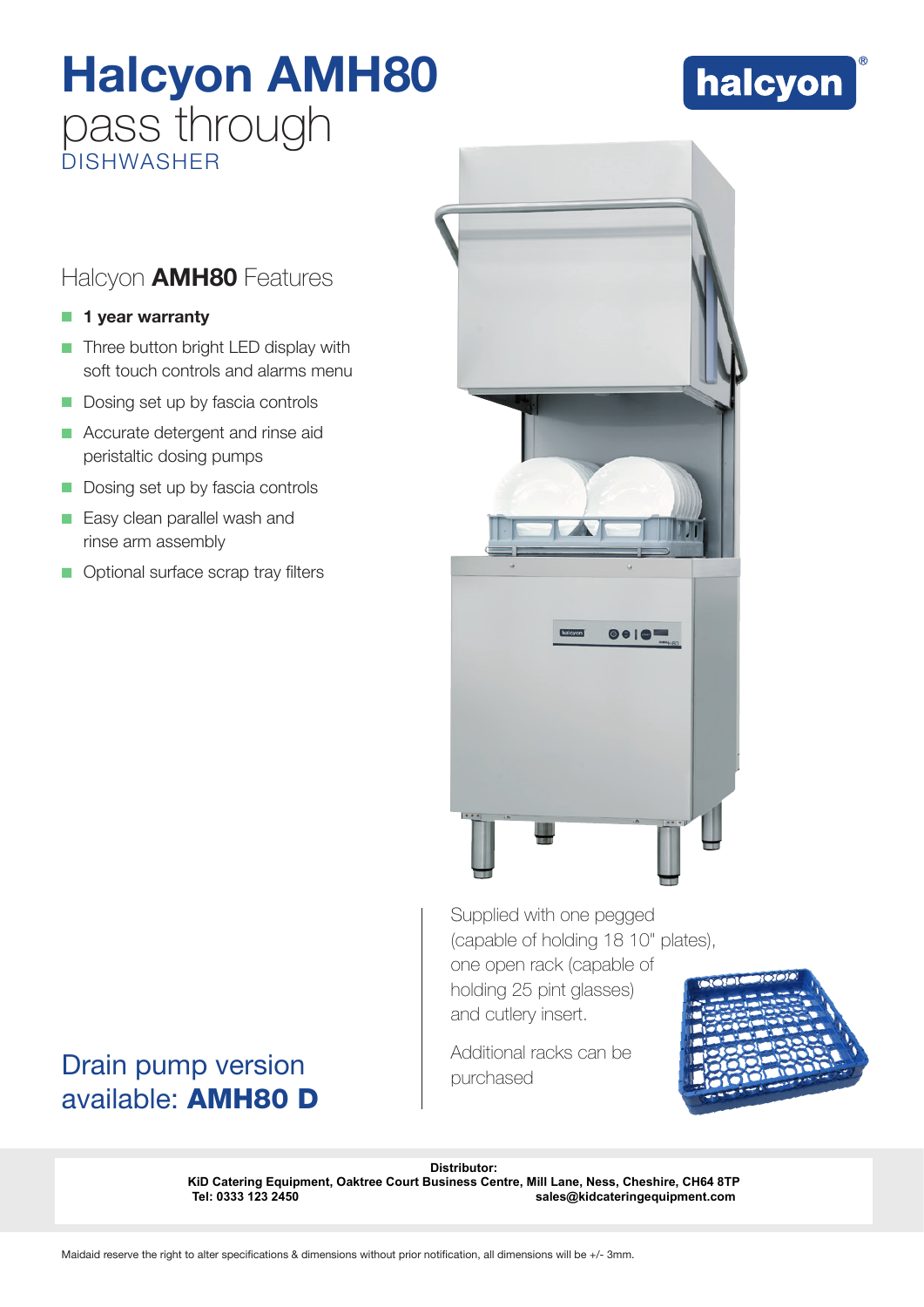## Halcyon AMH80 pass through DISHWASHER

# halcyon

#### Halcyon **AMH80** Features

#### $\blacksquare$  1 year warranty

- Three button bright LED display with soft touch controls and alarms menu
- Dosing set up by fascia controls
- Accurate detergent and rinse aid peristaltic dosing pumps
- $\blacksquare$  Dosing set up by fascia controls
- Easy clean parallel wash and rinse arm assembly
- **O** Optional surface scrap tray filters

available: AMH80 D



Supplied with one pegged (capable of holding 18 10" plates), one open rack (capable of

holding 25 pint glasses) and cutlery insert.

**Drain pump version** example additional racks can be purchased



Distributor:<br>**KiD Catering Equipment, Oaktree Court Business Centre, Mill Lane, Ness, Cl<br>Sales@kidcaterir<br>Maidaid reserve the right to alter specifications & dimensions without prior notification, all dimensions will be +/ KiD Catering Equipment, Oaktree Court Business Centre, Mill Lane, Ness, Cheshire, CH64 8TP Tel: 0333 123 2450 sales@kidcateringequipment.com**